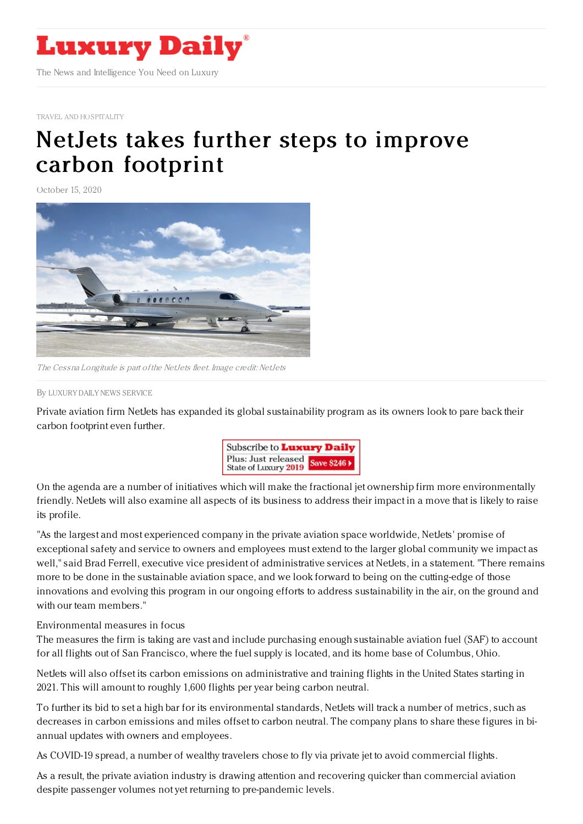

TRAVEL AND [HOSPITALITY](https://www.luxurydaily.com/category/sectors/travel-and-hospitality/)

## NetJets takes further steps to improve carbon [footprint](https://www.luxurydaily.com/netjets-takes-further-steps-to-improve-carbon-footprint/)

October 15, 2020



The Cessna Longitude is part of the NetJets fleet. Image credit: NetJets

By LUXURY DAILY NEWS [SERVICE](file:///author/luxury-daily-news-service)

Private aviation firm NetJets has expanded its global sustainability program as its owners look to pare back their carbon footprint even further.



On the agenda are a number of initiatives which will make the fractional jet ownership firm more environmentally friendly. NetJets will also examine all aspects of its business to address their impact in a move that is likely to raise its profile.

"As the largest and most experienced company in the private aviation space worldwide, NetJets' promise of exceptional safety and service to owners and employees must extend to the larger global community we impact as well," said Brad Ferrell, executive vice president of administrative services at NetJets, in a statement. "There remains more to be done in the sustainable aviation space, and we look forward to being on the cutting-edge of those innovations and evolving this program in our ongoing efforts to address sustainability in the air, on the ground and with our team members."

## Environmental measures in focus

The measures the firm is taking are vast and include purchasing enough sustainable aviation fuel (SAF) to account for all flights out of San Francisco, where the fuel supply is located, and its home base of Columbus, Ohio.

NetJets will also offset its carbon emissions on administrative and training flights in the United States starting in 2021. This will amount to roughly 1,600 flights per year being carbon neutral.

To further its bid to set a high bar for its environmental standards, NetJets will track a number of metrics, such as decreases in carbon emissions and miles offset to carbon neutral. The company plans to share these figures in biannual updates with owners and employees.

As COVID-19 spread, a number of wealthy travelers chose to fly via private jet to avoid commercial flights.

As a result, the private aviation industry is drawing attention and recovering quicker than commercial aviation despite passenger volumes not yet returning to pre-pandemic levels.